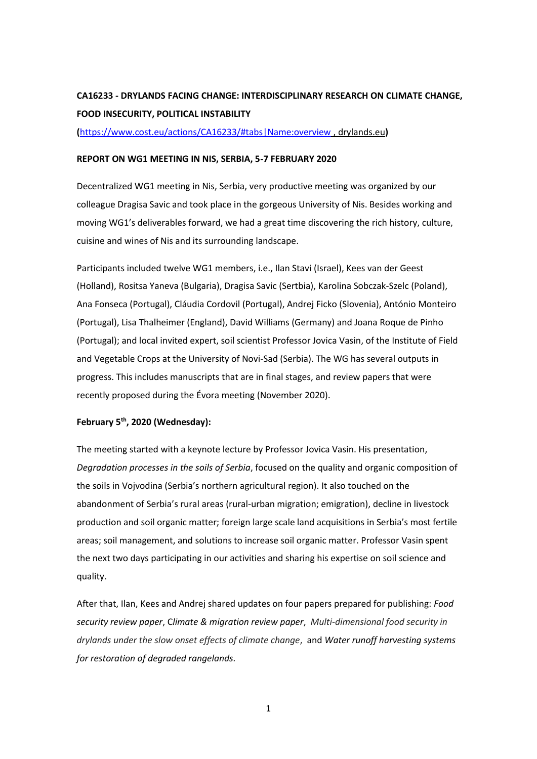## **CA16233 - DRYLANDS FACING CHANGE: INTERDISCIPLINARY RESEARCH ON CLIMATE CHANGE, FOOD INSECURITY, POLITICAL INSTABILITY**

**(**<https://www.cost.eu/actions/CA16233/#tabs|Name:overview> , drylands.eu**)**

## **REPORT ON WG1 MEETING IN NIS, SERBIA, 5-7 FEBRUARY 2020**

Decentralized WG1 meeting in Nis, Serbia, very productive meeting was organized by our colleague Dragisa Savic and took place in the gorgeous University of Nis. Besides working and moving WG1's deliverables forward, we had a great time discovering the rich history, culture, cuisine and wines of Nis and its surrounding landscape.

Participants included twelve WG1 members, i.e., Ilan Stavi (Israel), Kees van der Geest (Holland), Rositsa Yaneva (Bulgaria), Dragisa Savic (Sertbia), Karolina Sobczak-Szelc (Poland), Ana Fonseca (Portugal), Cláudia Cordovil (Portugal), Andrej Ficko (Slovenia), António Monteiro (Portugal), Lisa Thalheimer (England), David Williams (Germany) and Joana Roque de Pinho (Portugal); and local invited expert, soil scientist Professor Jovica Vasin, of the Institute of Field and Vegetable Crops at the University of Novi-Sad (Serbia). The WG has several outputs in progress. This includes manuscripts that are in final stages, and review papers that were recently proposed during the Évora meeting (November 2020).

## **February 5th, 2020 (Wednesday):**

The meeting started with a keynote lecture by Professor Jovica Vasin. His presentation, *Degradation processes in the soils of Serbia*, focused on the quality and organic composition of the soils in Vojvodina (Serbia's northern agricultural region). It also touched on the abandonment of Serbia's rural areas (rural-urban migration; emigration), decline in livestock production and soil organic matter; foreign large scale land acquisitions in Serbia's most fertile areas; soil management, and solutions to increase soil organic matter. Professor Vasin spent the next two days participating in our activities and sharing his expertise on soil science and quality.

After that, Ilan, Kees and Andrej shared updates on four papers prepared for publishing: *Food security review paper*, C*limate & migration review paper*, *Multi-dimensional food security in drylands under the slow onset effects of climate change*, and *Water runoff harvesting systems for restoration of degraded rangelands.*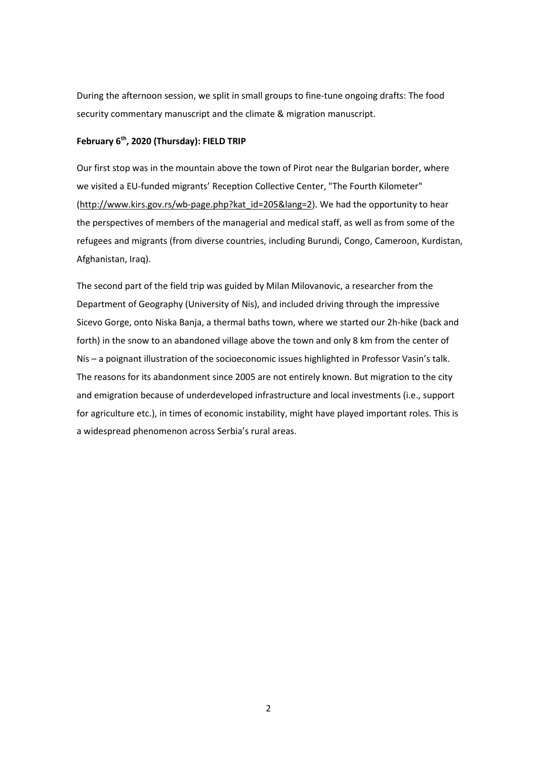During the afternoon session, we split in small groups to fine-tune ongoing drafts: The food security commentary manuscript and the climate & migration manuscript.

## **February 6th, 2020 (Thursday): FIELD TRIP**

Our first stop was in the mountain above the town of Pirot near the Bulgarian border, where we visited a EU-funded migrants' Reception Collective Center, "The Fourth Kilometer" [\(http://www.kirs.gov.rs/wb-page.php?kat\\_id=205&lang=2\)](http://www.kirs.gov.rs/wb-page.php?kat_id=205&lang=2). We had the opportunity to hear the perspectives of members of the managerial and medical staff, as well as from some of the refugees and migrants (from diverse countries, including Burundi, Congo, Cameroon, Kurdistan, Afghanistan, Iraq).

The second part of the field trip was guided by Milan Milovanovic, a researcher from the Department of Geography (University of Nis), and included driving through the impressive Sicevo Gorge, onto Niska Banja, a thermal baths town, where we started our 2h-hike (back and forth) in the snow to an abandoned village above the town and only 8 km from the center of Nis – a poignant illustration of the socioeconomic issues highlighted in Professor Vasin's talk. The reasons for its abandonment since 2005 are not entirely known. But migration to the city and emigration because of underdeveloped infrastructure and local investments (i.e., support for agriculture etc.), in times of economic instability, might have played important roles. This is a widespread phenomenon across Serbia's rural areas.